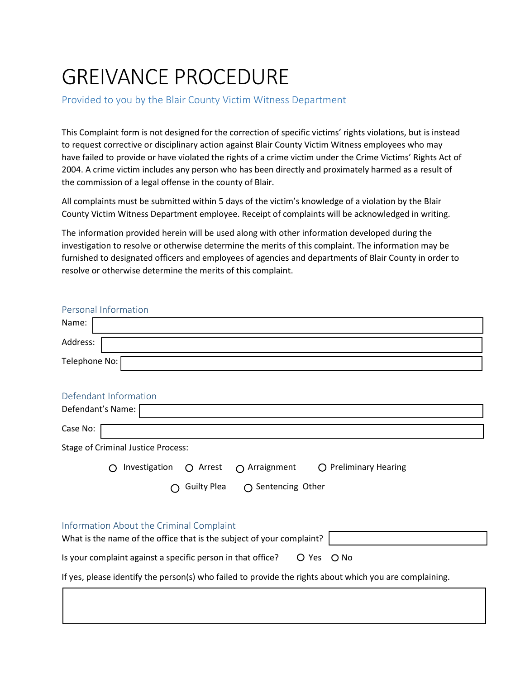## GREIVANCE PROCEDURE

Provided to you by the Blair County Victim Witness Department

This Complaint form is not designed for the correction of specific victims' rights violations, but is instead to request corrective or disciplinary action against Blair County Victim Witness employees who may have failed to provide or have violated the rights of a crime victim under the Crime Victims' Rights Act of 2004. A crime victim includes any person who has been directly and proximately harmed as a result of the commission of a legal offense in the county of Blair.

All complaints must be submitted within 5 days of the victim's knowledge of a violation by the Blair County Victim Witness Department employee. Receipt of complaints will be acknowledged in writing.

The information provided herein will be used along with other information developed during the investigation to resolve or otherwise determine the merits of this complaint. The information may be furnished to designated officers and employees of agencies and departments of Blair County in order to resolve or otherwise determine the merits of this complaint.

| Personal Information                                                                                    |
|---------------------------------------------------------------------------------------------------------|
| Name:                                                                                                   |
| Address:                                                                                                |
| Telephone No:                                                                                           |
| Defendant Information                                                                                   |
| Defendant's Name:                                                                                       |
| Case No:                                                                                                |
| <b>Stage of Criminal Justice Process:</b>                                                               |
| Investigation<br>$\bigcirc$ Preliminary Hearing<br>$\bigcirc$ Arrest<br>$\bigcap$ Arraignment           |
| <b>Guilty Plea</b><br>$\bigcap$ Sentencing Other                                                        |
| Information About the Criminal Complaint                                                                |
| What is the name of the office that is the subject of your complaint?                                   |
| Is your complaint against a specific person in that office?<br>O Yes<br>O No                            |
| If yes, please identify the person(s) who failed to provide the rights about which you are complaining. |